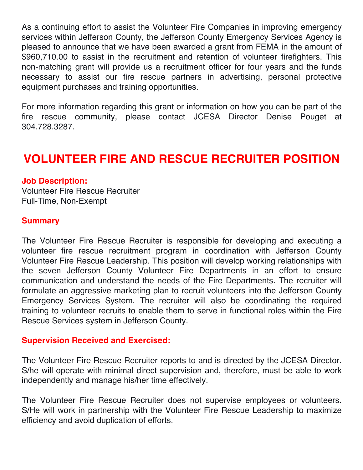As a continuing effort to assist the Volunteer Fire Companies in improving emergency services within Jefferson County, the Jefferson County Emergency Services Agency is pleased to announce that we have been awarded a grant from FEMA in the amount of \$960,710.00 to assist in the recruitment and retention of volunteer firefighters. This non-matching grant will provide us a recruitment officer for four years and the funds necessary to assist our fire rescue partners in advertising, personal protective equipment purchases and training opportunities.

For more information regarding this grant or information on how you can be part of the fire rescue community, please contact JCESA Director Denise Pouget at 304.728.3287.

# **VOLUNTEER FIRE AND RESCUE RECRUITER POSITION**

#### **Job Description:**

Volunteer Fire Rescue Recruiter Full-Time, Non-Exempt

#### **Summary**

The Volunteer Fire Rescue Recruiter is responsible for developing and executing a volunteer fire rescue recruitment program in coordination with Jefferson County Volunteer Fire Rescue Leadership. This position will develop working relationships with the seven Jefferson County Volunteer Fire Departments in an effort to ensure communication and understand the needs of the Fire Departments. The recruiter will formulate an aggressive marketing plan to recruit volunteers into the Jefferson County Emergency Services System. The recruiter will also be coordinating the required training to volunteer recruits to enable them to serve in functional roles within the Fire Rescue Services system in Jefferson County.

#### **Supervision Received and Exercised:**

The Volunteer Fire Rescue Recruiter reports to and is directed by the JCESA Director. S/he will operate with minimal direct supervision and, therefore, must be able to work independently and manage his/her time effectively.

The Volunteer Fire Rescue Recruiter does not supervise employees or volunteers. S/He will work in partnership with the Volunteer Fire Rescue Leadership to maximize efficiency and avoid duplication of efforts.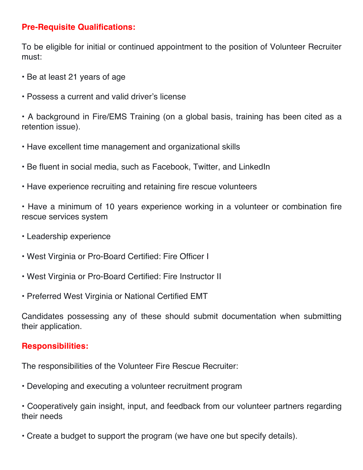## **Pre-Requisite Qualifications:**

To be eligible for initial or continued appointment to the position of Volunteer Recruiter must:

- Be at least 21 years of age
- Possess a current and valid driver's license

• A background in Fire/EMS Training (on a global basis, training has been cited as a retention issue).

- Have excellent time management and organizational skills
- Be fluent in social media, such as Facebook, Twitter, and LinkedIn
- Have experience recruiting and retaining fire rescue volunteers

• Have a minimum of 10 years experience working in a volunteer or combination fire rescue services system

- Leadership experience
- West Virginia or Pro-Board Certified: Fire Officer I
- West Virginia or Pro-Board Certified: Fire Instructor II
- Preferred West Virginia or National Certified EMT

Candidates possessing any of these should submit documentation when submitting their application.

#### **Responsibilities:**

The responsibilities of the Volunteer Fire Rescue Recruiter:

• Developing and executing a volunteer recruitment program

• Cooperatively gain insight, input, and feedback from our volunteer partners regarding their needs

• Create a budget to support the program (we have one but specify details).